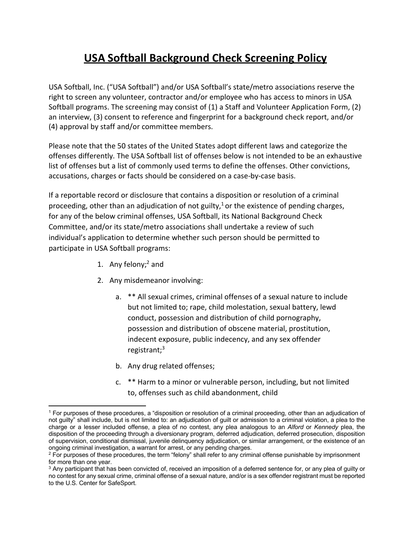# **USA Softball Background Check Screening Policy**

USA Softball, Inc. ("USA Softball") and/or USA Softball's state/metro associations reserve the right to screen any volunteer, contractor and/or employee who has access to minors in USA Softball programs. The screening may consist of (1) a Staff and Volunteer Application Form, (2) an interview, (3) consent to reference and fingerprint for a background check report, and/or (4) approval by staff and/or committee members.

Please note that the 50 states of the United States adopt different laws and categorize the offenses differently. The USA Softball list of offenses below is not intended to be an exhaustive list of offenses but a list of commonly used terms to define the offenses. Other convictions, accusations, charges or facts should be considered on a case-by-case basis.

If a reportable record or disclosure that contains a disposition or resolution of a criminal proceeding, other than an adjudication of not guilty,<sup>1</sup> or the existence of pending charges, for any of the below criminal offenses, USA Softball, its National Background Check Committee, and/or its state/metro associations shall undertake a review of such individual's application to determine whether such person should be permitted to participate in USA Softball programs:

- 1. Any felony; $<sup>2</sup>$  and</sup>
- 2. Any misdemeanor involving:
	- a. \*\* All sexual crimes, criminal offenses of a sexual nature to include but not limited to; rape, child molestation, sexual battery, lewd conduct, possession and distribution of child pornography, possession and distribution of obscene material, prostitution, indecent exposure, public indecency, and any sex offender registrant; $3$
	- b. Any drug related offenses;
	- c. \*\* Harm to a minor or vulnerable person, including, but not limited to, offenses such as child abandonment, child

<sup>1</sup> For purposes of these procedures, a "disposition or resolution of a criminal proceeding, other than an adjudication of not guilty" shall include, but is not limited to: an adjudication of guilt or admission to a criminal violation, a plea to the charge or a lesser included offense, a plea of no contest, any plea analogous to an *Alford* or *Kennedy* plea, the disposition of the proceeding through a diversionary program, deferred adjudication, deferred prosecution, disposition of supervision, conditional dismissal, juvenile delinquency adjudication, or similar arrangement, or the existence of an ongoing criminal investigation, a warrant for arrest, or any pending charges.

<sup>&</sup>lt;sup>2</sup> For purposes of these procedures, the term "felony" shall refer to any criminal offense punishable by imprisonment for more than one year.

<sup>&</sup>lt;sup>3</sup> Any participant that has been convicted of, received an imposition of a deferred sentence for, or any plea of guilty or no contest for any sexual crime, criminal offense of a sexual nature, and/or is a sex offender registrant must be reported to the U.S. Center for SafeSport.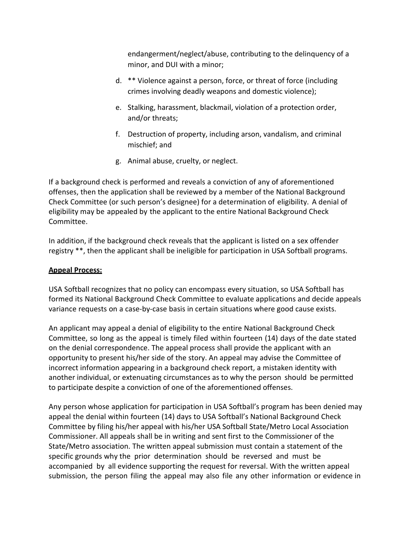endangerment/neglect/abuse, contributing to the delinquency of a minor, and DUI with a minor;

- d. \*\* Violence against a person, force, or threat of force (including crimes involving deadly weapons and domestic violence);
- e. Stalking, harassment, blackmail, violation of a protection order, and/or threats;
- f. Destruction of property, including arson, vandalism, and criminal mischief; and
- g. Animal abuse, cruelty, or neglect.

If a background check is performed and reveals a conviction of any of aforementioned offenses, then the application shall be reviewed by a member of the National Background Check Committee (or such person's designee) for a determination of eligibility. A denial of eligibility may be appealed by the applicant to the entire National Background Check Committee.

In addition, if the background check reveals that the applicant is listed on a sex offender registry \*\*, then the applicant shall be ineligible for participation in USA Softball programs.

## **Appeal Process:**

USA Softball recognizes that no policy can encompass every situation, so USA Softball has formed its National Background Check Committee to evaluate applications and decide appeals variance requests on a case-by-case basis in certain situations where good cause exists.

An applicant may appeal a denial of eligibility to the entire National Background Check Committee, so long as the appeal is timely filed within fourteen (14) days of the date stated on the denial correspondence. The appeal process shall provide the applicant with an opportunity to present his/her side of the story. An appeal may advise the Committee of incorrect information appearing in a background check report, a mistaken identity with another individual, or extenuating circumstances as to why the person should be permitted to participate despite a conviction of one of the aforementioned offenses.

Any person whose application for participation in USA Softball's program has been denied may appeal the denial within fourteen (14) days to USA Softball's National Background Check Committee by filing his/her appeal with his/her USA Softball State/Metro Local Association Commissioner. All appeals shall be in writing and sent first to the Commissioner of the State/Metro association. The written appeal submission must contain a statement of the specific grounds why the prior determination should be reversed and must be accompanied by all evidence supporting the request for reversal. With the written appeal submission, the person filing the appeal may also file any other information or evidence in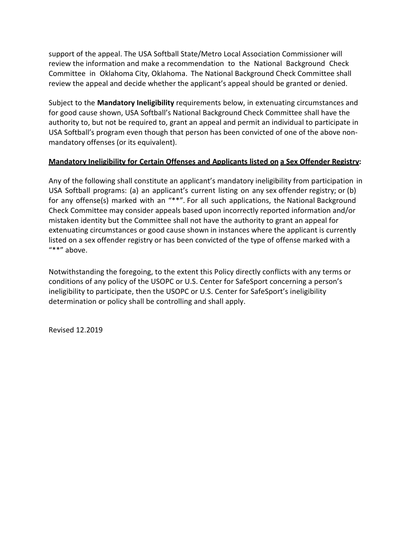support of the appeal. The USA Softball State/Metro Local Association Commissioner will review the information and make a recommendation to the National Background Check Committee in Oklahoma City, Oklahoma. The National Background Check Committee shall review the appeal and decide whether the applicant's appeal should be granted or denied.

Subject to the **Mandatory Ineligibility** requirements below, in extenuating circumstances and for good cause shown, USA Softball's National Background Check Committee shall have the authority to, but not be required to, grant an appeal and permit an individual to participate in USA Softball's program even though that person has been convicted of one of the above nonmandatory offenses (or its equivalent).

#### **Mandatory Ineligibility for Certain Offenses and Applicants listed on a Sex Offender Registry:**

Any of the following shall constitute an applicant's mandatory ineligibility from participation in USA Softball programs: (a) an applicant's current listing on any sex offender registry; or (b) for any offense(s) marked with an "\*\*". For all such applications, the National Background Check Committee may consider appeals based upon incorrectly reported information and/or mistaken identity but the Committee shall not have the authority to grant an appeal for extenuating circumstances or good cause shown in instances where the applicant is currently listed on a sex offender registry or has been convicted of the type of offense marked with a "\*\*" above.

Notwithstanding the foregoing, to the extent this Policy directly conflicts with any terms or conditions of any policy of the USOPC or U.S. Center for SafeSport concerning a person's ineligibility to participate, then the USOPC or U.S. Center for SafeSport's ineligibility determination or policy shall be controlling and shall apply.

Revised 12.2019